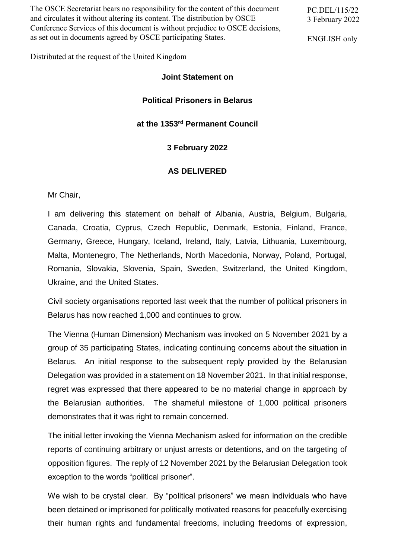The OSCE Secretariat bears no responsibility for the content of this document and circulates it without altering its content. The distribution by OSCE Conference Services of this document is without prejudice to OSCE decisions, as set out in documents agreed by OSCE participating States.

PC.DEL/115/22 3 February 2022

ENGLISH only

Distributed at the request of the United Kingdom

### **Joint Statement on**

# **Political Prisoners in Belarus**

### **at the 1353 rd Permanent Council**

## **3 February 2022**

#### **AS DELIVERED**

Mr Chair,

I am delivering this statement on behalf of Albania, Austria, Belgium, Bulgaria, Canada, Croatia, Cyprus, Czech Republic, Denmark, Estonia, Finland, France, Germany, Greece, Hungary, Iceland, Ireland, Italy, Latvia, Lithuania, Luxembourg, Malta, Montenegro, The Netherlands, North Macedonia, Norway, Poland, Portugal, Romania, Slovakia, Slovenia, Spain, Sweden, Switzerland, the United Kingdom, Ukraine, and the United States.

Civil society organisations reported last week that the number of political prisoners in Belarus has now reached 1,000 and continues to grow.

The Vienna (Human Dimension) Mechanism was invoked on 5 November 2021 by a group of 35 participating States, indicating continuing concerns about the situation in Belarus. An initial response to the subsequent reply provided by the Belarusian Delegation was provided in a statement on 18 November 2021. In that initial response, regret was expressed that there appeared to be no material change in approach by the Belarusian authorities. The shameful milestone of 1,000 political prisoners demonstrates that it was right to remain concerned.

The initial letter invoking the Vienna Mechanism asked for information on the credible reports of continuing arbitrary or unjust arrests or detentions, and on the targeting of opposition figures. The reply of 12 November 2021 by the Belarusian Delegation took exception to the words "political prisoner".

We wish to be crystal clear. By "political prisoners" we mean individuals who have been detained or imprisoned for politically motivated reasons for peacefully exercising their human rights and fundamental freedoms, including freedoms of expression,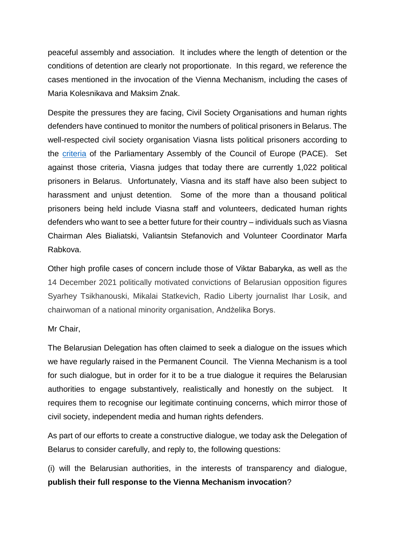peaceful assembly and association. It includes where the length of detention or the conditions of detention are clearly not proportionate. In this regard, we reference the cases mentioned in the invocation of the Vienna Mechanism, including the cases of Maria Kolesnikava and Maksim Znak.

Despite the pressures they are facing, Civil Society Organisations and human rights defenders have continued to monitor the numbers of political prisoners in Belarus. The well-respected civil society organisation Viasna lists political prisoners according to the [criteria](https://spring96.org/files/misc/politprisoner-guidelines-final_en.pdf) of the Parliamentary Assembly of the Council of Europe (PACE). Set against those criteria, Viasna judges that today there are currently 1,022 political prisoners in Belarus. Unfortunately, Viasna and its staff have also been subject to harassment and unjust detention. Some of the more than a thousand political prisoners being held include Viasna staff and volunteers, dedicated human rights defenders who want to see a better future for their country – individuals such as Viasna Chairman Ales Bialiatski, Valiantsin Stefanovich and Volunteer Coordinator Marfa Rabkova.

Other high profile cases of concern include those of Viktar Babaryka, as well as the 14 December 2021 politically motivated convictions of Belarusian opposition figures Syarhey Tsikhanouski, Mikalai Statkevich, Radio Liberty journalist Ihar Losik, and chairwoman of a national minority organisation, Andżelika Borys.

Mr Chair,

The Belarusian Delegation has often claimed to seek a dialogue on the issues which we have regularly raised in the Permanent Council. The Vienna Mechanism is a tool for such dialogue, but in order for it to be a true dialogue it requires the Belarusian authorities to engage substantively, realistically and honestly on the subject. It requires them to recognise our legitimate continuing concerns, which mirror those of civil society, independent media and human rights defenders.

As part of our efforts to create a constructive dialogue, we today ask the Delegation of Belarus to consider carefully, and reply to, the following questions:

(i) will the Belarusian authorities, in the interests of transparency and dialogue, **publish their full response to the Vienna Mechanism invocation**?